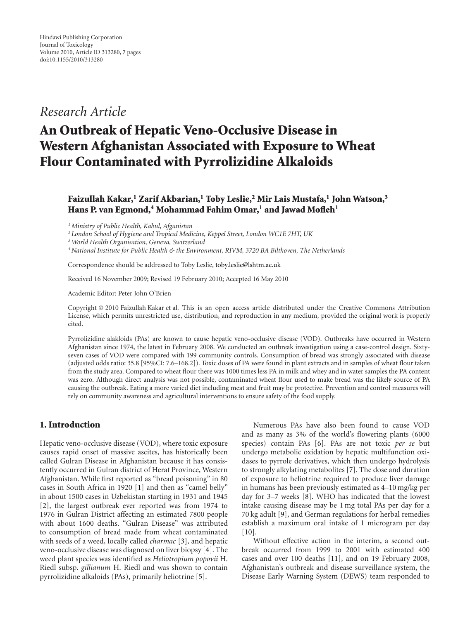# *Research Article*

# **An Outbreak of Hepatic Veno-Occlusive Disease in Western Afghanistan Associated with Exposure to Wheat Flour Contaminated with Pyrrolizidine Alkaloids**

## **Faizullah Kakar,1 Zarif Akbarian,1 Toby Leslie,2 Mir Lais Mustafa,1 John Watson,3** Hans P. van Egmond,<sup>4</sup> Mohammad Fahim Omar,<sup>1</sup> and Jawad Mofleh<sup>1</sup>

*1Ministry of Public Health, Kabul, Afganistan*

*<sup>2</sup> London School of Hygiene and Tropical Medicine, Keppel Street, London WC1E 7HT, UK*

*3World Health Organisation, Geneva, Switzerland*

*4National Institute for Public Health & the Environment, RIVM, 3720 BA Bilthoven, The Netherlands*

Correspondence should be addressed to Toby Leslie, [toby.leslie@lshtm.ac.uk](mailto:toby.leslie@lshtm.ac.uk)

Received 16 November 2009; Revised 19 February 2010; Accepted 16 May 2010

Academic Editor: Peter John O'Brien

Copyright © 2010 Faizullah Kakar et al. This is an open access article distributed under the Creative Commons Attribution License, which permits unrestricted use, distribution, and reproduction in any medium, provided the original work is properly cited.

Pyrrolizidine alakloids (PAs) are known to cause hepatic veno-occlusive disease (VOD). Outbreaks have occurred in Western Afghanistan since 1974, the latest in February 2008. We conducted an outbreak investigation using a case-control design. Sixtyseven cases of VOD were compared with 199 community controls. Consumption of bread was strongly associated with disease (adjusted odds ratio: 35.8 [95%CI: 7.6–168.2]). Toxic doses of PA were found in plant extracts and in samples of wheat flour taken from the study area. Compared to wheat flour there was 1000 times less PA in milk and whey and in water samples the PA content was zero. Although direct analysis was not possible, contaminated wheat flour used to make bread was the likely source of PA causing the outbreak. Eating a more varied diet including meat and fruit may be protective. Prevention and control measures will rely on community awareness and agricultural interventions to ensure safety of the food supply.

### **1. Introduction**

Hepatic veno-occlusive disease (VOD), where toxic exposure causes rapid onset of massive ascites, has historically been called Gulran Disease in Afghanistan because it has consistently occurred in Gulran district of Herat Province, Western Afghanistan. While first reported as "bread poisoning" in 80 cases in South Africa in 1920 [\[1\]](#page-5-1) and then as "camel belly" in about 1500 cases in Uzbekistan starting in 1931 and 1945 [\[2](#page-5-2)], the largest outbreak ever reported was from 1974 to 1976 in Gulran District affecting an estimated 7800 people with about 1600 deaths. "Gulran Disease" was attributed to consumption of bread made from wheat contaminated with seeds of a weed, locally called *charmac* [\[3\]](#page-5-3), and hepatic veno-occlusive disease was diagnosed on liver biopsy [\[4](#page-5-4)]. The weed plant species was identified as *Heliotropium popovii* H. Riedl subsp. *gillianum* H. Riedl and was shown to contain pyrrolizidine alkaloids (PAs), primarily heliotrine [\[5](#page-5-5)].

Numerous PAs have also been found to cause VOD and as many as 3% of the world's flowering plants (6000 species) contain PAs [\[6](#page-6-0)]. PAs are not toxic *per se* but undergo metabolic oxidation by hepatic multifunction oxidases to pyrrole derivatives, which then undergo hydrolysis to strongly alkylating metabolites [\[7\]](#page-6-1). The dose and duration of exposure to heliotrine required to produce liver damage in humans has been previously estimated as 4–10 mg/kg per day for 3–7 weeks [\[8](#page-6-2)]. WHO has indicated that the lowest intake causing disease may be 1 mg total PAs per day for a 70 kg adult [\[9](#page-6-3)], and German regulations for herbal remedies establish a maximum oral intake of 1 microgram per day  $[10]$ .

Without effective action in the interim, a second outbreak occurred from 1999 to 2001 with estimated 400 cases and over 100 deaths [\[11\]](#page-6-5), and on 19 February 2008, Afghanistan's outbreak and disease surveillance system, the Disease Early Warning System (DEWS) team responded to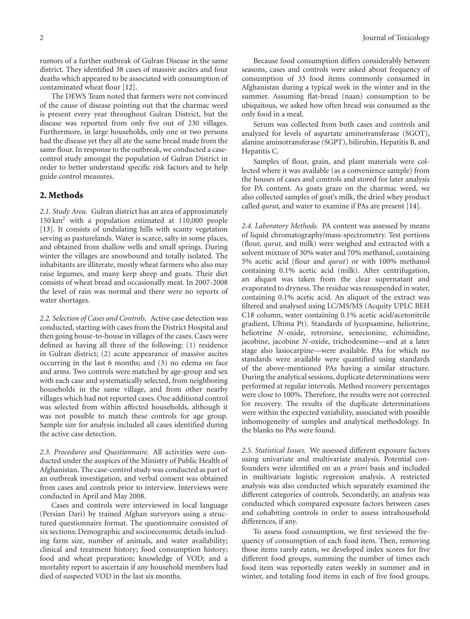rumors of a further outbreak of Gulran Disease in the same district. They identified 38 cases of massive ascites and four deaths which appeared to be associated with consumption of contaminated wheat flour [\[12](#page-6-6)].

The DEWS Team noted that farmers were not convinced of the cause of disease pointing out that the charmac weed is present every year throughout Gulran District, but the disease was reported from only five out of 230 villages. Furthermore, in large households, only one or two persons had the disease yet they all ate the same bread made from the same flour. In response to the outbreak, we conducted a casecontrol study amongst the population of Gulran District in order to better understand specific risk factors and to help guide control measures.

#### **2. Methods**

*2.1. Study Area.* Gulran district has an area of approximately 150 km2 with a population estimated at 110,000 people [\[13\]](#page-6-7). It consists of undulating hills with scanty vegetation serving as pasturelands. Water is scarce, salty in some places, and obtained from shallow wells and small springs. During winter the villages are snowbound and totally isolated. The inhabitants are illiterate, mostly wheat farmers who also may raise legumes, and many keep sheep and goats. Their diet consists of wheat bread and occasionally meat. In 2007-2008 the level of rain was normal and there were no reports of water shortages.

*2.2. Selection of Cases and Controls.* Active case detection was conducted, starting with cases from the District Hospital and then going house-to-house in villages of the cases. Cases were defined as having all three of the following: (1) residence in Gulran district; (2) acute appearance of massive ascites occurring in the last 6 months; and (3) no edema on face and arms. Two controls were matched by age-group and sex with each case and systematically selected, from neighboring households in the same village, and from other nearby villages which had not reported cases. One additional control was selected from within affected households, although it was not possible to match these controls for age group. Sample size for analysis included all cases identified during the active case detection.

*2.3. Procedures and Questionnaire.* All activities were conducted under the auspices of the Ministry of Public Health of Afghanistan. The case-control study was conducted as part of an outbreak investigation, and verbal consent was obtained from cases and controls prior to interview. Interviews were conducted in April and May 2008.

Cases and controls were interviewed in local language (Persian Dari) by trained Afghan surveyors using a structured questionnaire format. The questionnaire consisted of six sections: Demographic and socioeconomic details including farm size, number of animals, and water availability; clinical and treatment history; food consumption history; food and wheat preparation; knowledge of VOD; and a mortality report to ascertain if any household members had died of suspected VOD in the last six months.

Because food consumption differs considerably between seasons, cases and controls were asked about frequency of consumption of 33 food items commonly consumed in Afghanistan during a typical week in the winter and in the summer. Assuming flat-bread (naan) consumption to be ubiquitous, we asked how often bread was consumed as the only food in a meal.

Serum was collected from both cases and controls and analyzed for levels of aspartate aminotransferase (SGOT), alanine aminotransferase (SGPT), bilirubin, Hepatitis B, and Hepatitis C.

Samples of flour, grain, and plant materials were collected where it was available (as a convenience sample) from the houses of cases and controls and stored for later analysis for PA content. As goats graze on the charmac weed, we also collected samples of goat's milk, the dried whey product called *qurut*, and water to examine if PAs are present [\[14](#page-6-8)].

*2.4. Laboratory Methods.* PA content was assessed by means of liquid chromatography/mass-spectrometry. Test portions (flour, *qurut,* and milk) were weighed and extracted with a solvent mixture of 30% water and 70% methanol, containing 5% acetic acid (flour and *qurut*) or with 100% methanol containing 0.1% acetic acid (milk). After centrifugation, an aliquot was taken from the clear supernatant and evaporated to dryness. The residue was resuspended in water, containing 0.1% acetic acid. An aliquot of the extract was filtered and analysed using LC/MS/MS (Acquity UPLC BEH C18 column, water containing 0.1% acetic acid/acetonitrile gradient, Ultima Pt). Standards of lycopsamine, heliotrine, heliotrine *N*-oxide, retrorsine, senecionine, echimidine, jacobine, jacobine *N*-oxide, trichodesmine—and at a later stage also lasiocarpine—were available. PAs for which no standards were available were quantified using standards of the above-mentioned PAs having a similar structure. During the analytical sessions, duplicate determinations were performed at regular intervals. Method recovery percentages were close to 100%. Therefore, the results were not corrected for recovery. The results of the duplicate determinations were within the expected variability, associated with possible inhomogeneity of samples and analytical methodology. In the blanks no PAs were found.

*2.5. Statistical Issues.* We assessed different exposure factors using univariate and multivariate analysis. Potential confounders were identified on an *a priori* basis and included in multivariate logistic regression analysis. A restricted analysis was also conducted which separately examined the different categories of controls. Secondarily, an analysis was conducted which compared exposure factors between cases and cohabiting controls in order to assess intrahousehold differences, if any.

To assess food consumption, we first reviewed the frequency of consumption of each food item. Then, removing those items rarely eaten, we developed index scores for five different food groups, summing the number of times each food item was reportedly eaten weekly in summer and in winter, and totaling food items in each of five food groups.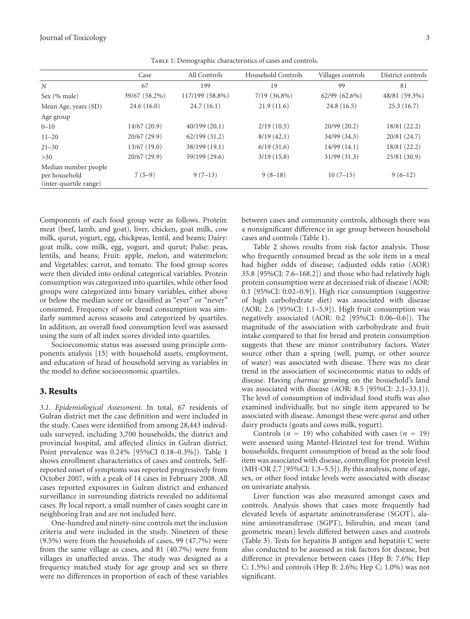Journal of Toxicology 3

|                                                                 | Case          | All Controls    | Household Controls | Villages controls | District controls |
|-----------------------------------------------------------------|---------------|-----------------|--------------------|-------------------|-------------------|
| N                                                               | 67            | 199             | 19                 | 99                | 81                |
| Sex (% male)                                                    | 39/67 (58.2%) | 117/199 (58.8%) | $7/19$ $(36.8\%)$  | $62/99(62.6\%)$   | 48/81 (59.3%)     |
| Mean Age, years (SD)                                            | 24.6(16.0)    | 24.7(16.1)      | 21.9(11.6)         | 24.8(16.5)        | 25.3(16.7)        |
| Age group                                                       |               |                 |                    |                   |                   |
| $0 - 10$                                                        | 14/67(20.9)   | 40/199(20.1)    | 2/19(10.5)         | 20/99(20.2)       | 18/81(22.2)       |
| $11 - 20$                                                       | 20/67(29.9)   | 62/199(31.2)    | 8/19(42.1)         | 34/99(34.3)       | 20/81(24.7)       |
| $21 - 30$                                                       | 13/67(19.0)   | 38/199 (19.1)   | 6/19(31.6)         | 14/99(14.1)       | 18/81 (22.2)      |
| >30                                                             | 20/67(29.9)   | 59/199 (29.6)   | 3/19(15.8)         | 31/99(31.3)       | 25/81(30.9)       |
| Median number people<br>per household<br>(inter-quartile range) | $7(5-9)$      | $9(7-13)$       | $9(8-18)$          | $10(7-15)$        | $9(6-12)$         |

<span id="page-2-0"></span>Table 1: Demographic characteristics of cases and controls.

Components of each food group were as follows. Protein: meat (beef, lamb, and goat), liver, chicken, goat milk, cow milk, qurut, yogurt, egg, chickpeas, lentil, and beans; Dairy: goat milk, cow milk, egg, yogurt, and qurut; Pulse: peas, lentils, and beans; Fruit: apple, melon, and watermelon; and Vegetables: carrot, and tomato. The food group scores were then divided into ordinal categorical variables. Protein consumption was categorized into quartiles, while other food groups were categorized into binary variables, either above or below the median score or classified as "ever" or "never" consumed. Frequency of sole bread consumption was similarly summed across seasons and categorized by quartiles. In addition, an overall food consumption level was assessed using the sum of all index scores divided into quartiles.

Socioeconomic status was assessed using principle components analysis [\[15](#page-6-9)] with household assets, employment, and education of head of household serving as variables in the model to define socioeconomic quartiles.

#### **3. Results**

*3.1. Epidemiological Assessment.* In total, 67 residents of Gulran district met the case definition and were included in the study. Cases were identified from among 28,443 individuals surveyed, including 3,700 households, the district and provincial hospital, and affected clinics in Gulran district. Point prevalence was 0.24% [95%CI 0.18–0.3%]). Table [1](#page-2-0) shows enrollment characteristics of cases and controls. Selfreported onset of symptoms was reported progressively from October 2007, with a peak of 14 cases in February 2008. All cases reported exposures in Gulran district and enhanced surveillance in surrounding districts revealed no additional cases. By local report, a small number of cases sought care in neighboring Iran and are not included here.

One-hundred and ninety-nine controls met the inclusion criteria and were included in the study. Nineteen of these (9.5%) were from the households of cases, 99 (47.7%) were from the same village as cases, and 81 (40.7%) were from villages in unaffected areas. The study was designed as a frequency matched study for age group and sex so there were no differences in proportion of each of these variables between cases and community controls, although there was a nonsignificant difference in age group between household cases and controls (Table [1\)](#page-2-0).

Table [2](#page-3-0) shows results from risk factor analysis. Those who frequently consumed bread as the sole item in a meal had higher odds of disease; (adjusted odds ratio (AOR) 35.8 [95%CI: 7.6–168.2]) and those who had relatively high protein consumption were at decreased risk of disease (AOR: 0.1 [95%CI: 0.02–0.9]). High rice consumption (suggestive of high carbohydrate diet) was associated with disease (AOR: 2.6 [95%CI: 1.1–5.9]). High fruit consumption was negatively associated (AOR: 0.2 [95%CI: 0.06–0.6]). The magnitude of the association with carbohydrate and fruit intake compared to that for bread and protein consumption suggests that these are minor contributory factors. Water source other than a spring (well, pump, or other source of water) was associated with disease. There was no clear trend in the association of socioeconomic status to odds of disease. Having *charmac* growing on the household's land was associated with disease (AOR: 8.5 [95%CI: 2.1–33.1]). The level of consumption of individual food stuffs was also examined individually, but no single item appeared to be associated with disease. Amongst these were *qurut* and other dairy products (goats and cows milk, yogurt).

Controls ( $n = 19$ ) who cohabited with cases ( $n = 19$ ) were assessed using Mantel-Heintzel test for trend. Within households, frequent consumption of bread as the sole food item was associated with disease, controlling for protein level (MH-OR 2.7 [95%CI: 1.3–5.5]). By this analysis, none of age, sex, or other food intake levels were associated with disease on univariate analysis.

Liver function was also measured amongst cases and controls. Analysis shows that cases more frequently had elevated levels of aspartate aminotransferase (SGOT), alanine aminotransferase (SGPT), bilirubin, and mean (and geometric mean) levels differed between cases and controls (Table [3\)](#page-3-1). Tests for hepatitis B antigen and hepatitis C were also conducted to be assessed as risk factors for disease, but difference in prevalence between cases (Hep B: 7.6%; Hep C: 1.5%) and controls (Hep B: 2.6%; Hep C: 1.0%) was not significant.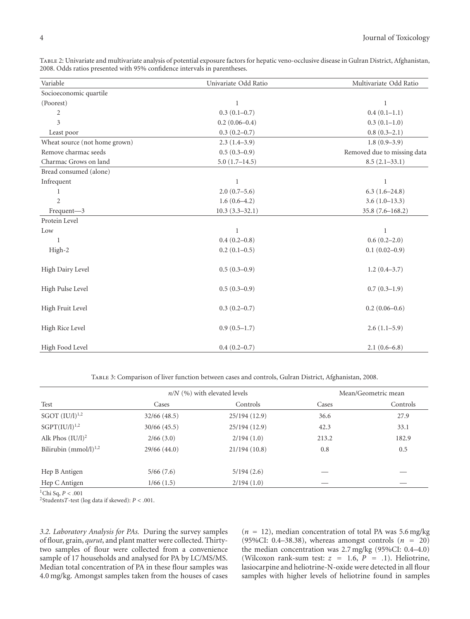<span id="page-3-0"></span>Table 2: Univariate and multivariate analysis of potential exposure factors for hepatic veno-occlusive disease in Gulran District, Afghanistan, 2008. Odds ratios presented with 95% confidence intervals in parentheses.

| Variable                      | Univariate Odd Ratio | Multivariate Odd Ratio      |  |
|-------------------------------|----------------------|-----------------------------|--|
| Socioeconomic quartile        |                      |                             |  |
| (Poorest)                     | 1                    | $\mathbf{1}$                |  |
| $\overline{2}$                | $0.3(0.1-0.7)$       | $0.4(0.1-1.1)$              |  |
| 3                             | $0.2(0.06 - 0.4)$    | $0.3(0.1-1.0)$              |  |
| Least poor                    | $0.3(0.2-0.7)$       | $0.8(0.3-2.1)$              |  |
| Wheat source (not home grown) | $2.3(1.4-3.9)$       | $1.8(0.9-3.9)$              |  |
| Remove charmac seeds          | $0.5(0.3-0.9)$       | Removed due to missing data |  |
| Charmac Grows on land         | $5.0(1.7-14.5)$      | $8.5(2.1-33.1)$             |  |
| Bread consumed (alone)        |                      |                             |  |
| Infrequent                    | 1                    | $\mathbf{1}$                |  |
| 1                             | $2.0(0.7-5.6)$       | $6.3(1.6-24.8)$             |  |
| $\overline{2}$                | $1.6(0.6-4.2)$       | $3.6(1.0-13.3)$             |  |
| Frequent-3                    | $10.3(3.3 - 32.1)$   | 35.8 (7.6-168.2)            |  |
| Protein Level                 |                      |                             |  |
| Low                           | 1                    | 1                           |  |
| 1                             | $0.4(0.2 - 0.8)$     | $0.6(0.2-2.0)$              |  |
| High-2                        | $0.2(0.1-0.5)$       | $0.1(0.02-0.9)$             |  |
| High Dairy Level              | $0.5(0.3-0.9)$       | $1.2(0.4-3.7)$              |  |
| High Pulse Level              | $0.5(0.3-0.9)$       | $0.7(0.3-1.9)$              |  |
| High Fruit Level              | $0.3(0.2 - 0.7)$     | $0.2(0.06-0.6)$             |  |
| High Rice Level               | $0.9(0.5-1.7)$       | $2.6(1.1-5.9)$              |  |
| High Food Level               | $0.4(0.2-0.7)$       | $2.1(0.6-6.8)$              |  |

<span id="page-3-1"></span>Table 3: Comparison of liver function between cases and controls, Gulran District, Afghanistan, 2008.

|                            |                | $n/N$ (%) with elevated levels | Mean/Geometric mean |          |
|----------------------------|----------------|--------------------------------|---------------------|----------|
| Test                       | Cases          | Controls                       | Cases               | Controls |
| $SGOT (IU/l)^{1,2}$        | $32/66$ (48.5) | 25/194 (12.9)                  | 36.6                | 27.9     |
| $SGPT(IU/l)^{1,2}$         | 30/66 (45.5)   | 25/194 (12.9)                  | 42.3                | 33.1     |
| Alk Phos $(IU/l)^2$        | 2/66(3.0)      | 2/194(1.0)                     | 213.2               | 182.9    |
| Bilirubin $(mmol/l)^{1,2}$ | 29/66(44.0)    | 21/194(10.8)                   | 0.8                 | 0.5      |
| Hep B Antigen              | 5/66(7.6)      | 5/194(2.6)                     |                     |          |
| Hep C Antigen              | 1/66(1.5)      | 2/194(1.0)                     |                     |          |

1Chi Sq, *P<.*001

2Students*T*-test (log data if skewed): *P<.*001.

*3.2. Laboratory Analysis for PAs.* During the survey samples of flour, grain, *qurut*, and plant matter were collected. Thirtytwo samples of flour were collected from a convenience sample of 17 households and analysed for PA by LC/MS/MS. Median total concentration of PA in these flour samples was 4.0 mg/kg. Amongst samples taken from the houses of cases

 $(n = 12)$ , median concentration of total PA was 5.6 mg/kg (95%CI: 0.4–38.38), whereas amongst controls (*n =* 20) the median concentration was 2.7 mg/kg (95%CI: 0.4–4.0) (Wilcoxon rank-sum test:  $z = 1.6$ ,  $P = .1$ ). Heliotrine, lasiocarpine and heliotrine-N-oxide were detected in all flour samples with higher levels of heliotrine found in samples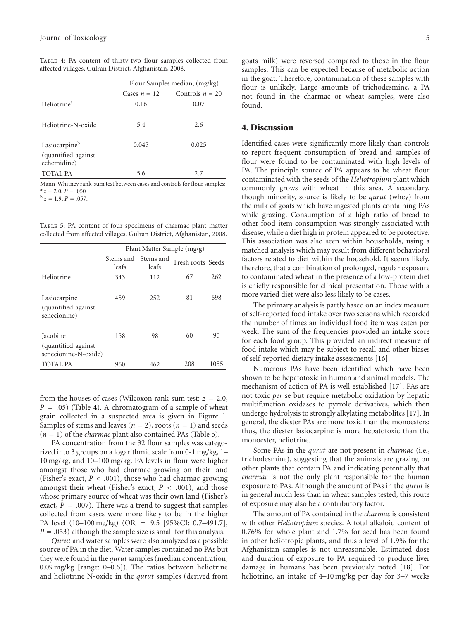|                                    | Flour Samples median, (mg/kg) |                   |  |
|------------------------------------|-------------------------------|-------------------|--|
|                                    | Cases $n = 12$                | Controls $n = 20$ |  |
| Heliotrine <sup>a</sup>            | 0.16                          | 0.07              |  |
| Heliotrine-N-oxide                 | 5.4                           | 2.6               |  |
| Lasiocarpineb                      | 0.045                         | 0.025             |  |
| (quantified against<br>echemidine) |                               |                   |  |
| TOTAL PA                           | 5.6                           | 27                |  |

<span id="page-4-0"></span>Table 4: PA content of thirty-two flour samples collected from affected villages, Gulran District, Afghanistan, 2008.

Mann-Whitney rank-sum test between cases and controls for flour samples:  $a:z = 2.0, P = .050$ <br> $b:z = 1.9, P = .057.$ 

<span id="page-4-1"></span>Table 5: PA content of four specimens of charmac plant matter collected from affected villages, Gulran District, Afghanistan, 2008.

|                                                                | Plant Matter Sample (mg/g) |                    |                   |      |
|----------------------------------------------------------------|----------------------------|--------------------|-------------------|------|
|                                                                | Stems and<br>leafs         | Stems and<br>leafs | Fresh roots Seeds |      |
| Heliotrine                                                     | 343                        | 112                | 67                | 262  |
| Lasiocarpine<br>(quantified against)<br>senecionine)           | 459                        | 252                | 81                | 698  |
| <b>Iacobine</b><br>(quantified against<br>senecionine-N-oxide) | 158                        | 98                 | 60                | 95   |
| TOTAL PA                                                       | 960                        | 462                | 208               | 1055 |

from the houses of cases (Wilcoxon rank-sum test:  $z = 2.0$ ,  $P = .05$ ) (Table [4\)](#page-4-0). A chromatogram of a sample of wheat grain collected in a suspected area is given in Figure [1.](#page-5-6) Samples of stems and leaves ( $n = 2$ ), roots ( $n = 1$ ) and seeds  $(n = 1)$  of the *charmac* plant also contained PAs (Table [5\)](#page-4-1).

PA concentration from the 32 flour samples was categorized into 3 groups on a logarithmic scale from 0-1 mg/kg, 1– 10 mg/kg, and 10–100 mg/kg. PA levels in flour were higher amongst those who had charmac growing on their land (Fisher's exact,  $P < .001$ ), those who had charmac growing amongst their wheat (Fisher's exact,  $P < .001$ ), and those whose primary source of wheat was their own land (Fisher's exact,  $P = .007$ ). There was a trend to suggest that samples collected from cases were more likely to be in the higher PA level (10–100 mg/kg) (OR *=* 9*.*5 [95%CI: 0.7–491.7],  $P = .053$ ) although the sample size is small for this analysis.

*Qurut* and water samples were also analyzed as a possible source of PA in the diet. Water samples contained no PAs but they were found in the *qurut* samples (median concentration, 0.09 mg/kg [range: 0–0.6]). The ratios between heliotrine and heliotrine N-oxide in the *qurut* samples (derived from goats milk) were reversed compared to those in the flour samples. This can be expected because of metabolic action in the goat. Therefore, contamination of these samples with flour is unlikely. Large amounts of trichodesmine, a PA not found in the charmac or wheat samples, were also found.

#### **4. Discussion**

Identified cases were significantly more likely than controls to report frequent consumption of bread and samples of flour were found to be contaminated with high levels of PA. The principle source of PA appears to be wheat flour contaminated with the seeds of the *Heliotropium* plant which commonly grows with wheat in this area. A secondary, though minority, source is likely to be *qurut* (whey) from the milk of goats which have ingested plants containing PAs while grazing. Consumption of a high ratio of bread to other food-item consumption was strongly associated with disease, while a diet high in protein appeared to be protective. This association was also seen within households, using a matched analysis which may result from different behavioral factors related to diet within the household. It seems likely, therefore, that a combination of prolonged, regular exposure to contaminated wheat in the presence of a low-protein diet is chiefly responsible for clinical presentation. Those with a more varied diet were also less likely to be cases.

The primary analysis is partly based on an index measure of self-reported food intake over two seasons which recorded the number of times an individual food item was eaten per week. The sum of the frequencies provided an intake score for each food group. This provided an indirect measure of food intake which may be subject to recall and other biases of self-reported dietary intake assessments [\[16](#page-6-10)].

Numerous PAs have been identified which have been shown to be hepatotoxic in human and animal models. The mechanism of action of PA is well established [\[17](#page-6-11)]. PAs are not toxic *per* se but require metabolic oxidation by hepatic multifunction oxidases to pyrrole derivatives, which then undergo hydrolysis to strongly alkylating metabolites [\[17](#page-6-11)]. In general, the diester PAs are more toxic than the monoesters; thus, the diester lasiocarpine is more hepatotoxic than the monoester, heliotrine.

Some PAs in the *qurut* are not present in *charmac* (i.e., trichodesmine), suggesting that the animals are grazing on other plants that contain PA and indicating potentially that *charmac* is not the only plant responsible for the human exposure to PAs. Although the amount of PAs in the *qurut* is in general much less than in wheat samples tested, this route of exposure may also be a contributory factor.

The amount of PA contained in the *charmac* is consistent with other *Heliotropium* species. A total alkaloid content of 0.76% for whole plant and 1.7% for seed has been found in other heliotropic plants, and thus a level of 1.9% for the Afghanistan samples is not unreasonable. Estimated dose and duration of exposure to PA required to produce liver damage in humans has been previously noted [\[18](#page-6-12)]. For heliotrine, an intake of 4–10 mg/kg per day for 3–7 weeks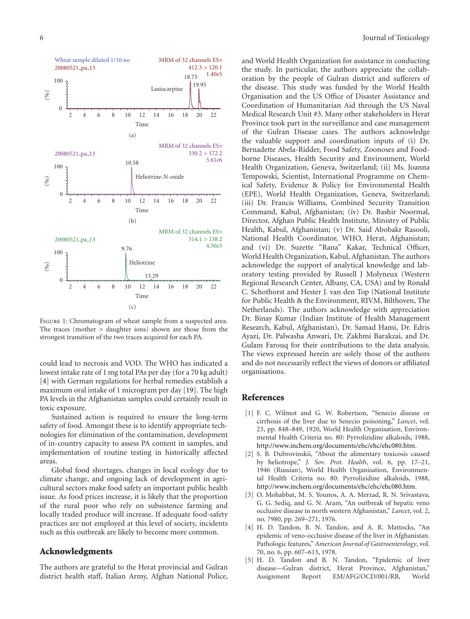

<span id="page-5-6"></span>Figure 1: Chromatogram of wheat sample from a suspected area. The traces (mother *>* daughter ions) shown are those from the strongest transition of the two traces acquired for each PA.

could lead to necrosis and VOD. The WHO has indicated a lowest intake rate of 1 mg total PAs per day (for a 70 kg adult) [\[4](#page-5-4)] with German regulations for herbal remedies establish a maximum oral intake of 1 microgram per day [\[19](#page-6-13)]. The high PA levels in the Afghanistan samples could certainly result in toxic exposure.

Sustained action is required to ensure the long-term safety of food. Amongst these is to identify appropriate technologies for elimination of the contamination, development of in-country capacity to assess PA content in samples, and implementation of routine testing in historically affected areas.

Global food shortages, changes in local ecology due to climate change, and ongoing lack of development in agricultural sectors make food safety an important public health issue. As food prices increase, it is likely that the proportion of the rural poor who rely on subsistence farming and locally traded produce will increase. If adequate food-safety practices are not employed at this level of society, incidents such as this outbreak are likely to become more common.

#### **Acknowledgments**

The authors are grateful to the Herat provincial and Gulran district health staff, Italian Army, Afghan National Police, and World Health Organization for assistance in conducting the study. In particular, the authors appreciate the collaboration by the people of Gulran district and sufferers of the disease. This study was funded by the World Health Organisation and the US Office of Disaster Assistance and Coordination of Humanitarian Aid through the US Naval Medical Research Unit #3. Many other stakeholders in Herat Province took part in the surveillance and case management of the Gulran Disease cases. The authors acknowledge the valuable support and coordination inputs of (i) Dr. Bernadette Abela-Ridder, Food Safety, Zoonoses and Foodborne Diseases, Health Security and Environment, World Health Organization, Geneva, Switzerland; (ii) Ms. Joanna Tempowski, Scientist, International Programme on Chemical Safety, Evidence & Policy for Environmental Health (EPE), World Health Organization, Geneva, Switzerland; (iii) Dr. Francis Williams, Combined Security Transition Command, Kabul, Afghanistan; (iv) Dr. Bashir Noormal, Director, Afghan Public Health Institute, Ministry of Public Health, Kabul, Afghanistan; (v) Dr. Said Abobakr Rasooli, National Health Coordinator, WHO, Herat, Afghanistan; and (vi) Dr. Suzette "Rana" Kakar, Technical Officer, World Health Organization, Kabul, Afghanistan. The authors acknowledge the support of analytical knowledge and laboratory testing provided by Russell J Molyneux (Western Regional Research Center, Albany, CA, USA) and by Ronald C. Schothorst and Hester J. van den Top (National Institute for Public Health & the Environment, RIVM, Bilthoven, The Netherlands). The authors acknowledge with appreciation Dr. Binay Kumar (Indian Institute of Health Management Research, Kabul, Afghanistan), Dr. Samad Hami, Dr. Edris Ayazi, Dr. Palwasha Anwari, Dr. Zakhmi Barakzai, and Dr. Gulam Farouq for their contributions to the data analysis. The views expressed herein are solely those of the authors and do not necessarily reflect the views of donors or affiliated organisations.

#### <span id="page-5-0"></span>**References**

- <span id="page-5-1"></span>[1] F. C. Wilmot and G. W. Robertson, "Senecio disease or cirrhosis of the liver due to Senecio poisoning," *Lancet*, vol. 23, pp. 848–849, 1920, World Health Organisation, Environmental Health Criteria no. 80: Pyrrolizidine alkaloids, 1988, [http://www.inchem.org/documents/ehc/ehc/ehc080.htm.](http://www.inchem.org/documents/ehc/ehc/ehc080.htm)
- <span id="page-5-2"></span>[2] S. B. Dubrovinskii, "About the alimentary toxicosis caused by heliotrope," *J. Sov. Prot. Health*, vol. 6, pp. 17–21, 1946 (Russian), World Health Organisation, Environmental Health Criteria no. 80: Pyrrolizidine alkaloids, 1988, [http://www.inchem.org/documents/ehc/ehc/ehc080.htm.](http://www.inchem.org/documents/ehc/ehc/ehc080.htm)
- <span id="page-5-3"></span>[3] O. Mohabbat, M. S. Younos, A. A. Merzad, R. N. Srivastava, G. G. Sediq, and G. N. Aram, "An outbreak of hepatic veno occlusive disease in north western Afghanistan," *Lancet*, vol. 2, no. 7980, pp. 269–271, 1976.
- <span id="page-5-4"></span>[4] H. D. Tandon, B. N. Tandon, and A. R. Mattocks, "An epidemic of veno-occlusive disease of the liver in Afghanistan. Pathologic features," *American Journal of Gastroenterology*, vol. 70, no. 6, pp. 607–613, 1978.
- <span id="page-5-5"></span>[5] H. D. Tandon and B. N. Tandon, "Epidemic of liver disease—Gulran district, Herat Province, Afghanistan," Assignment Report EM/AFG/OCD/001/RB, World